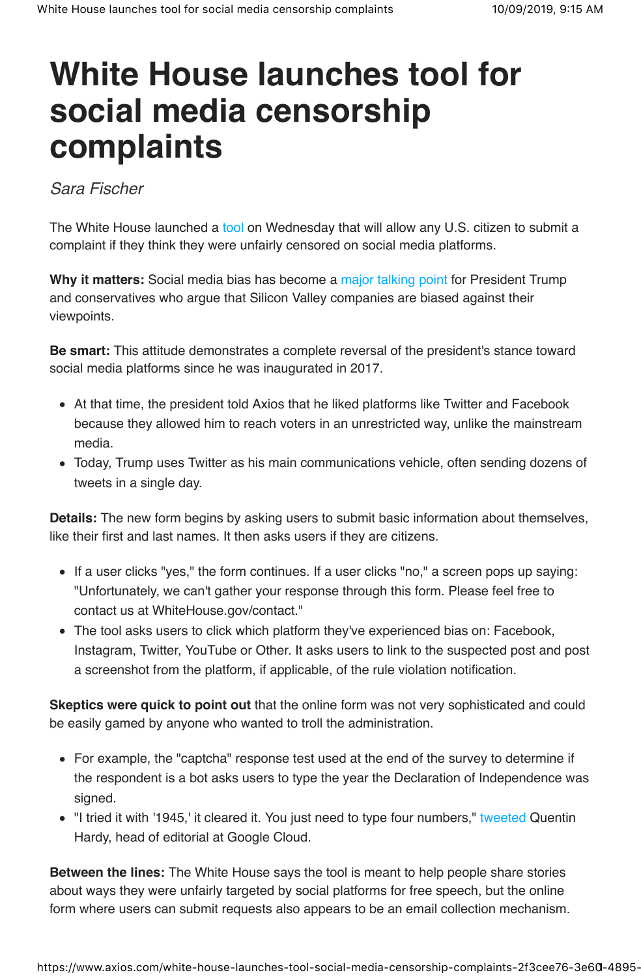## **White House launches tool for social media censorship complaints**

Sara Fischer

The White House launched a tool on Wednesday that will allow any U.S. citizen to submit a complaint if they think they were unfairly censored on social media platforms.

**Why it matters:** Social media bias has become a major talking point for President Trump and conservatives who argue that Silicon Valley companies are biased against their viewpoints.

**Be smart:** This attitude demonstrates a complete reversal of the president's stance toward social media platforms since he was inaugurated in 2017.

- At that time, the president told Axios that he liked platforms like Twitter and Facebook because they allowed him to reach voters in an unrestricted way, unlike the mainstream media.
- Today, Trump uses Twitter as his main communications vehicle, often sending dozens of tweets in a single day.

**Details:** The new form begins by asking users to submit basic information about themselves, like their first and last names. It then asks users if they are citizens.

- If a user clicks "yes," the form continues. If a user clicks "no," a screen pops up saying: "Unfortunately, we can't gather your response through this form. Please feel free to contact us at WhiteHouse.gov/contact."
- The tool asks users to click which platform they've experienced bias on: Facebook, Instagram, Twitter, YouTube or Other. It asks users to link to the suspected post and post a screenshot from the platform, if applicable, of the rule violation notification.

**Skeptics were quick to point out** that the online form was not very sophisticated and could be easily gamed by anyone who wanted to troll the administration.

- For example, the "captcha" response test used at the end of the survey to determine if the respondent is a bot asks users to type the year the Declaration of Independence was signed.
- "I tried it with '1945,' it cleared it. You just need to type four numbers," tweeted Quentin Hardy, head of editorial at Google Cloud.

**Between the lines:** The White House says the tool is meant to help people share stories about ways they were unfairly targeted by social platforms for free speech, but the online form where users can submit requests also appears to be an email collection mechanism.